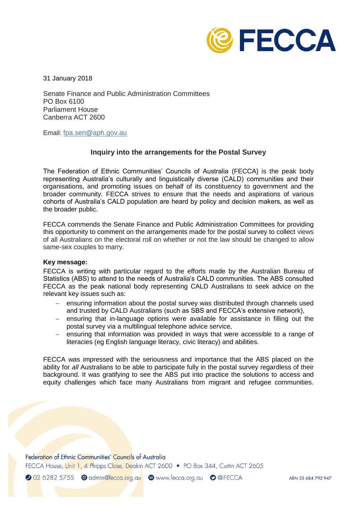

31 January 2018

Senate Finance and Public Administration Committees PO Box 6100 Parliament House Canberra ACT 2600

Email: [fpa.sen@aph.gov.au](mailto:fpa.sen@aph.gov.au)

## **Inquiry into the arrangements for the Postal Survey**

The Federation of Ethnic Communities' Councils of Australia (FECCA) is the peak body representing Australia's culturally and linguistically diverse (CALD) communities and their organisations, and promoting issues on behalf of its constituency to government and the broader community. FECCA strives to ensure that the needs and aspirations of various cohorts of Australia's CALD population are heard by policy and decision makers, as well as the broader public.

FECCA commends the Senate Finance and Public Administration Committees for providing this opportunity to comment on the arrangements made for the postal survey to collect views of all Australians on the electoral roll on whether or not the law should be changed to allow same-sex couples to marry.

## **Key message:**

FECCA is writing with particular regard to the efforts made by the Australian Bureau of Statistics (ABS) to attend to the needs of Australia's CALD communities. The ABS consulted FECCA as the peak national body representing CALD Australians to seek advice on the relevant key issues such as:

- ensuring information about the postal survey was distributed through channels used and trusted by CALD Australians (such as SBS and FECCA's extensive network),
- $-$  ensuring that in-language options were available for assistance in filling out the postal survey via a multilingual telephone advice service,
- ensuring that information was provided in ways that were accessible to a range of literacies (eg English language literacy, civic literacy) and abilities.

FECCA was impressed with the seriousness and importance that the ABS placed on the ability for *all* Australians to be able to participate fully in the postal survey regardless of their background. It was gratifying to see the ABS put into practice the solutions to access and equity challenges which face many Australians from migrant and refugee communities.

Federation of Ethnic Communities' Councils of Australia

FECCA House, Unit 1, 4 Phipps Close, Deakin ACT 2600 • PO Box 344, Curtin ACT 2605